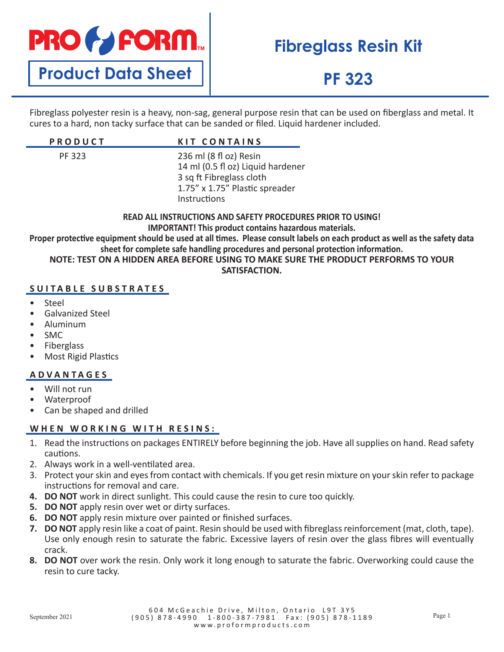

**Product Data Sheet**

## **Fibreglass Resin Kit**

## **PF 323**

Fibreglass polyester resin is a heavy, non-sag, general purpose resin that can be used on fiberglass and metal. It cures to a hard, non tacky surface that can be sanded or filed. Liquid hardener included.

| <b>PRODUCT</b> | <b>KIT CONTAINS</b>                                                                                                                       |
|----------------|-------------------------------------------------------------------------------------------------------------------------------------------|
| PF 323         | 236 ml (8 fl oz) Resin<br>14 ml (0.5 fl oz) Liquid hardener<br>3 sq ft Fibreglass cloth<br>1.75" x 1.75" Plastic spreader<br>Instructions |

**READ ALL INSTRUCTIONS AND SAFETY PROCEDURES PRIOR TO USING! IMPORTANT! This product contains hazardous materials. Proper protective equipment should be used at all times. Please consult labels on each product as well as the safety data sheet for complete safe handling procedures and personal protection information. NOTE: TEST ON A HIDDEN AREA BEFORE USING TO MAKE SURE THE PRODUCT PERFORMS TO YOUR** 

**SATISFACTION.**

### **SUITABLE SUBSTRATES**

- Steel
- Galvanized Steel
- Aluminum
- SMC
- **Fiberglass**
- Most Rigid Plastics

### **ADVANTAGES**

- Will not run
- Waterproof
- Can be shaped and drilled

### **WHEN WORKING WITH RESINS:**

- 1. Read the instructions on packages ENTIRELY before beginning the job. Have all supplies on hand. Read safety cautions.
- 2. Always work in a well-ventilated area.
- 3. Protect your skin and eyes from contact with chemicals. If you get resin mixture on your skin refer to package instructions for removal and care.
- **4. DO NOT** work in direct sunlight. This could cause the resin to cure too quickly.
- **5. DO NOT** apply resin over wet or dirty surfaces.
- **6. DO NOT** apply resin mixture over painted or finished surfaces.
- **7. DO NOT** apply resin like a coat of paint. Resin should be used with fibreglass reinforcement (mat, cloth, tape). Use only enough resin to saturate the fabric. Excessive layers of resin over the glass fibres will eventually crack.
- **8. DO NOT** over work the resin. Only work it long enough to saturate the fabric. Overworking could cause the resin to cure tacky.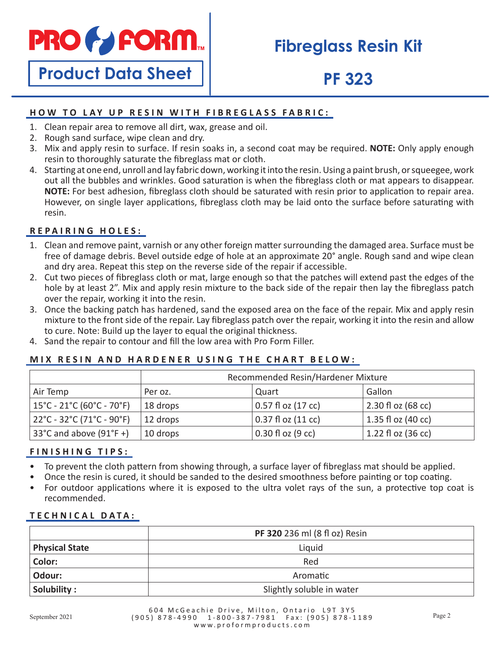

## **Fibreglass Resin Kit**

# **Product Data Sheet**

## **PF 323**

## **HOW TO LAY UP RESIN WITH FIBREGLASS FABRIC:**

- 1. Clean repair area to remove all dirt, wax, grease and oil.
- 2. Rough sand surface, wipe clean and dry.
- 3. Mix and apply resin to surface. If resin soaks in, a second coat may be required. **NOTE:** Only apply enough resin to thoroughly saturate the fibreglass mat or cloth.
- 4. Starting at one end, unroll and lay fabric down, working it into the resin. Using a paint brush, or squeegee, work out all the bubbles and wrinkles. Good saturation is when the fibreglass cloth or mat appears to disappear. **NOTE:** For best adhesion, fibreglass cloth should be saturated with resin prior to application to repair area. However, on single layer applications, fibreglass cloth may be laid onto the surface before saturating with resin.

## **REPAIRING HOLES:**

- 1. Clean and remove paint, varnish or any other foreign matter surrounding the damaged area. Surface must be free of damage debris. Bevel outside edge of hole at an approximate 20° angle. Rough sand and wipe clean and dry area. Repeat this step on the reverse side of the repair if accessible.
- 2. Cut two pieces of fibreglass cloth or mat, large enough so that the patches will extend past the edges of the hole by at least 2". Mix and apply resin mixture to the back side of the repair then lay the fibreglass patch over the repair, working it into the resin.
- 3. Once the backing patch has hardened, sand the exposed area on the face of the repair. Mix and apply resin mixture to the front side of the repair. Lay fibreglass patch over the repair, working it into the resin and allow to cure. Note: Build up the layer to equal the original thickness.
- 4. Sand the repair to contour and fill the low area with Pro Form Filler.

### **MIX RESIN AND HARDENER USING THE CHART BELOW:**

|                                                                      | Recommended Resin/Hardener Mixture |                        |                      |
|----------------------------------------------------------------------|------------------------------------|------------------------|----------------------|
| Air Temp                                                             | Per oz.                            | Quart                  | Gallon               |
| $15^{\circ}$ C - 21 $^{\circ}$ C (60 $^{\circ}$ C - 70 $^{\circ}$ F) | 18 drops                           | $0.57$ fl oz $(17$ cc) | $2.30 f$ oz (68 cc)  |
| $22^{\circ}$ C - 32 $^{\circ}$ C (71 $^{\circ}$ C - 90 $^{\circ}$ F) | 12 drops                           | 0.37 fl oz (11 cc)     | 1.35 fl oz (40 cc)   |
| 33°C and above $(91°F +)$                                            | 10 drops                           | $0.30$ fl oz (9 cc)    | $1.22$ fl oz (36 cc) |

### **FINISHING TIPS:**

- To prevent the cloth pattern from showing through, a surface layer of fibreglass mat should be applied.
- Once the resin is cured, it should be sanded to the desired smoothness before painting or top coating.
- For outdoor applications where it is exposed to the ultra volet rays of the sun, a protective top coat is recommended.

### **TECHNICAL DATA:**

|                       | PF 320 236 ml (8 fl oz) Resin |
|-----------------------|-------------------------------|
| <b>Physical State</b> | Liquid                        |
| Color:                | Red                           |
| Odour:                | Aromatic                      |
| Solubility:           | Slightly soluble in water     |